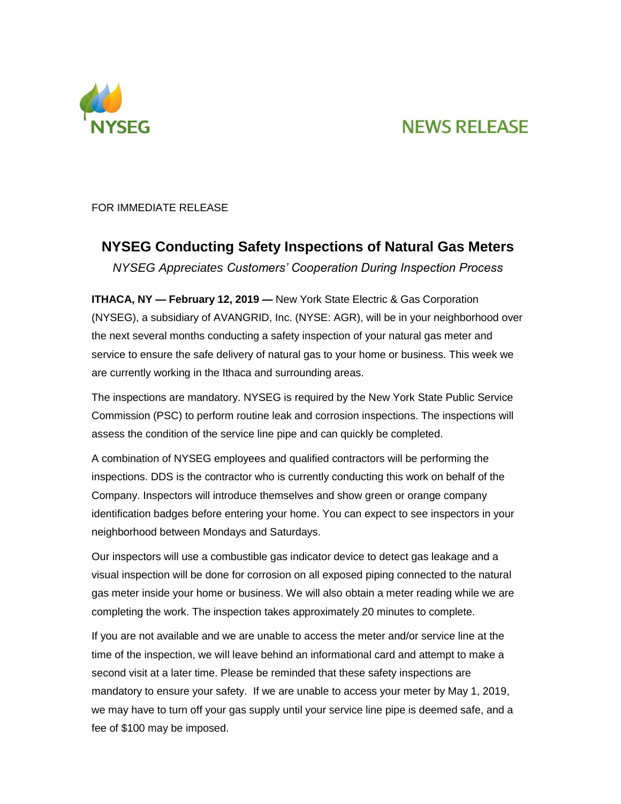

## **NEWS RELEASE**

FOR IMMEDIATE RELEASE

## **NYSEG Conducting Safety Inspections of Natural Gas Meters**

*NYSEG Appreciates Customers' Cooperation During Inspection Process*

**ITHACA, NY — February 12, 2019 —** New York State Electric & Gas Corporation (NYSEG), a subsidiary of AVANGRID, Inc. (NYSE: AGR), will be in your neighborhood over the next several months conducting a safety inspection of your natural gas meter and service to ensure the safe delivery of natural gas to your home or business. This week we are currently working in the Ithaca and surrounding areas.

The inspections are mandatory. NYSEG is required by the New York State Public Service Commission (PSC) to perform routine leak and corrosion inspections. The inspections will assess the condition of the service line pipe and can quickly be completed.

A combination of NYSEG employees and qualified contractors will be performing the inspections. DDS is the contractor who is currently conducting this work on behalf of the Company. Inspectors will introduce themselves and show green or orange company identification badges before entering your home. You can expect to see inspectors in your neighborhood between Mondays and Saturdays.

Our inspectors will use a combustible gas indicator device to detect gas leakage and a visual inspection will be done for corrosion on all exposed piping connected to the natural gas meter inside your home or business. We will also obtain a meter reading while we are completing the work. The inspection takes approximately 20 minutes to complete.

If you are not available and we are unable to access the meter and/or service line at the time of the inspection, we will leave behind an informational card and attempt to make a second visit at a later time. Please be reminded that these safety inspections are mandatory to ensure your safety. If we are unable to access your meter by May 1, 2019, we may have to turn off your gas supply until your service line pipe is deemed safe, and a fee of \$100 may be imposed.